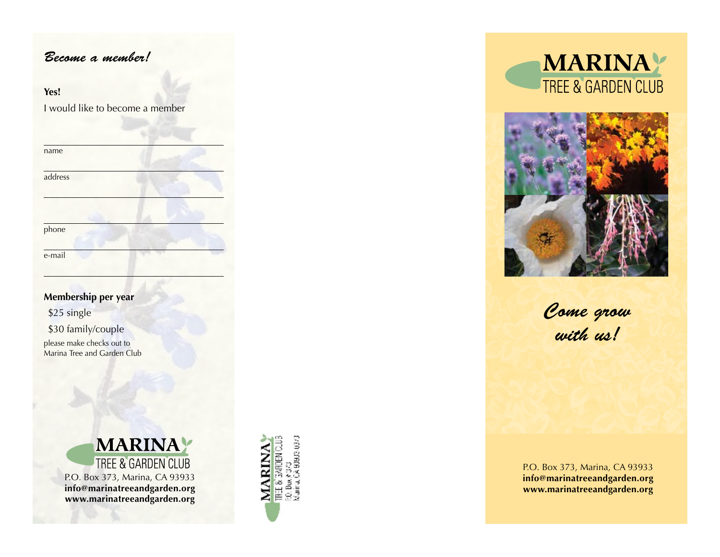# *Become a member!*

### **Yes!**

I would like to become a member

| name    |  |
|---------|--|
| address |  |
|         |  |
|         |  |
| phone   |  |
| e-mail  |  |

## **Membership per year**

\$25 single \$30 family/couple please make checks out to Marina Tree and Garden Club









*Come grow with us!*

P.O. Box 373, Marina, CA 93933 **info@marinatreeandgarden.org www.marinatreeandgarden.org**